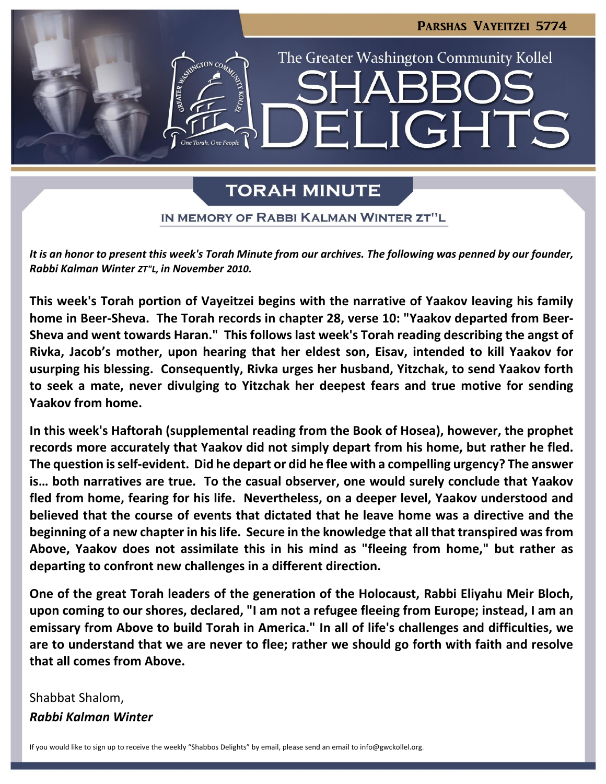

# **TORAH MINUTE**

IN MEMORY OF RABBI KALMAN WINTER ZT"L

*It is an honor to present this week's Torah Minute from our archives. The following was penned by our founder, Rabbi Kalman Winter ZT"L, in November 2010.*

**This week's Torah portion of Vayeitzei begins with the narrative of Yaakov leaving his family home in Beer-Sheva. The Torah records in chapter 28, verse 10: "Yaakov departed from Beer-Sheva and went towards Haran." This follows last week's Torah reading describing the angst of Rivka, Jacob's mother, upon hearing that her eldest son, Eisav, intended to kill Yaakov for usurping his blessing. Consequently, Rivka urges her husband, Yitzchak, to send Yaakov forth to seek a mate, never divulging to Yitzchak her deepest fears and true motive for sending Yaakov from home.**

**In this week's Haftorah (supplemental reading from the Book of Hosea), however, the prophet records more accurately that Yaakov did not simply depart from his home, but rather he fled. The question is self-evident. Did he depart or did he flee with a compelling urgency? The answer is… both narratives are true. To the casual observer, one would surely conclude that Yaakov fled from home, fearing for his life. Nevertheless, on a deeper level, Yaakov understood and believed that the course of events that dictated that he leave home was a directive and the beginning of a new chapter in his life. Secure in the knowledge that all that transpired was from Above, Yaakov does not assimilate this in his mind as "fleeing from home," but rather as departing to confront new challenges in a different direction.**

**One of the great Torah leaders of the generation of the Holocaust, Rabbi Eliyahu Meir Bloch, upon coming to our shores, declared, "I am not a refugee fleeing from Europe; instead, I am an emissary from Above to build Torah in America." In all of life's challenges and difficulties, we are to understand that we are never to flee; rather we should go forth with faith and resolve that all comes from Above.**

Shabbat Shalom, *Rabbi Kalman Winter*